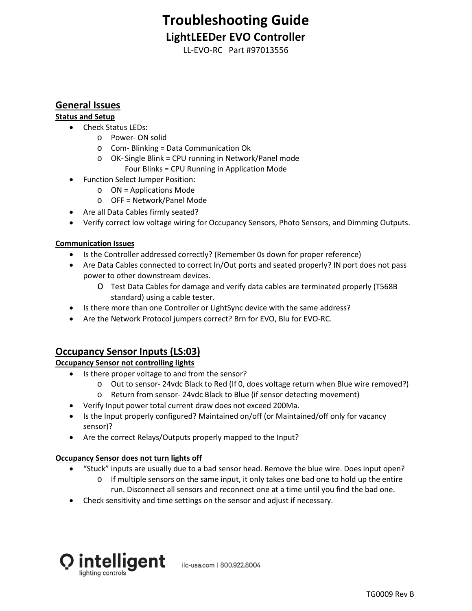# **Troubleshooting Guide LightLEEDer EVO Controller**

LL-EVO-RC Part #97013556

### **General Issues**

### **Status and Setup**

- Check Status LEDs:
	- o Power- ON solid
	- o Com- Blinking = Data Communication Ok
	- o OK- Single Blink = CPU running in Network/Panel mode
		- Four Blinks = CPU Running in Application Mode
- Function Select Jumper Position:
	- o ON = Applications Mode
	- o OFF = Network/Panel Mode
- Are all Data Cables firmly seated?
- Verify correct low voltage wiring for Occupancy Sensors, Photo Sensors, and Dimming Outputs.

#### **Communication Issues**

- Is the Controller addressed correctly? (Remember 0s down for proper reference)
- Are Data Cables connected to correct In/Out ports and seated properly? IN port does not pass power to other downstream devices.
	- o Test Data Cables for damage and verify data cables are terminated properly (T568B standard) using a cable tester.
- Is there more than one Controller or LightSync device with the same address?
- Are the Network Protocol jumpers correct? Brn for EVO, Blu for EVO-RC.

## **Occupancy Sensor Inputs (LS:03)**

### **Occupancy Sensor not controlling lights**

- Is there proper voltage to and from the sensor?
	- o Out to sensor- 24vdc Black to Red (If 0, does voltage return when Blue wire removed?)
	- o Return from sensor- 24vdc Black to Blue (if sensor detecting movement)
- Verify Input power total current draw does not exceed 200Ma.
- Is the Input properly configured? Maintained on/off (or Maintained/off only for vacancy sensor)?
- Are the correct Relays/Outputs properly mapped to the Input?

#### **Occupancy Sensor does not turn lights off**

- "Stuck" inputs are usually due to a bad sensor head. Remove the blue wire. Does input open?
	- $\circ$  If multiple sensors on the same input, it only takes one bad one to hold up the entire run. Disconnect all sensors and reconnect one at a time until you find the bad one.
- Check sensitivity and time settings on the sensor and adjust if necessary.



ilc-usa.com | 800.922.8004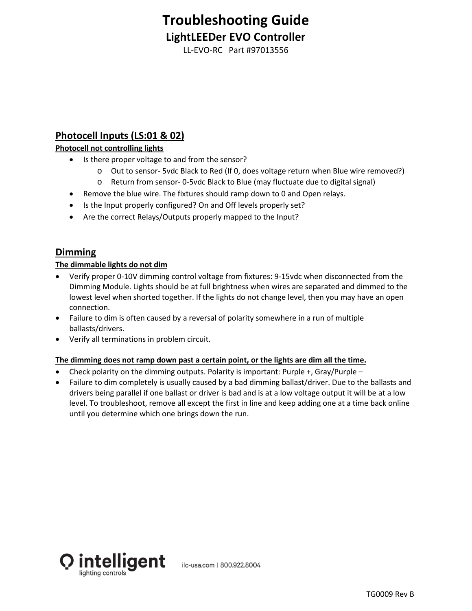# **Troubleshooting Guide LightLEEDer EVO Controller**

LL-EVO-RC Part #97013556

# **Photocell Inputs (LS:01 & 02)**

### **Photocell not controlling lights**

- Is there proper voltage to and from the sensor?
	- o Out to sensor- 5vdc Black to Red (If 0, does voltage return when Blue wire removed?)
	- o Return from sensor- 0-5vdc Black to Blue (may fluctuate due to digital signal)
- Remove the blue wire. The fixtures should ramp down to 0 and Open relays.
- Is the Input properly configured? On and Off levels properly set?
- Are the correct Relays/Outputs properly mapped to the Input?

### **Dimming**

### **The dimmable lights do not dim**

- Verify proper 0-10V dimming control voltage from fixtures: 9-15vdc when disconnected from the Dimming Module. Lights should be at full brightness when wires are separated and dimmed to the lowest level when shorted together. If the lights do not change level, then you may have an open connection.
- Failure to dim is often caused by a reversal of polarity somewhere in a run of multiple ballasts/drivers.
- Verify all terminations in problem circuit.

### **The dimming does not ramp down past a certain point, or the lights are dim all the time.**

- Check polarity on the dimming outputs. Polarity is important: Purple +, Gray/Purple –
- Failure to dim completely is usually caused by a bad dimming ballast/driver. Due to the ballasts and drivers being parallel if one ballast or driver is bad and is at a low voltage output it will be at a low level. To troubleshoot, remove all except the first in line and keep adding one at a time back online until you determine which one brings down the run.